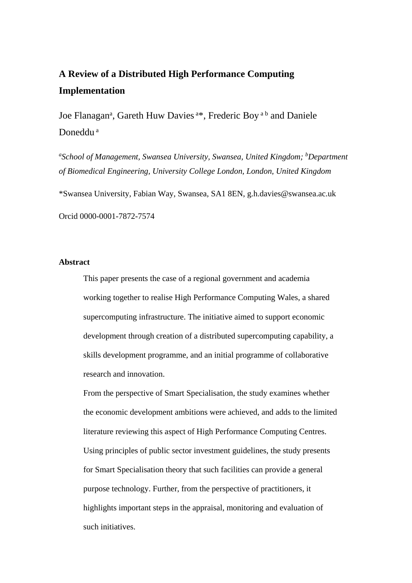# **A Review of a Distributed High Performance Computing Implementation**

Joe Flanagan<sup>a</sup>, Gareth Huw Davies<sup>a\*</sup>, Frederic Boy<sup>ab</sup> and Daniele Doneddu<sup>a</sup>

*a School of Management, Swansea University, Swansea, United Kingdom; b Department of Biomedical Engineering, University College London, London, United Kingdom*

\*Swansea University, Fabian Way, Swansea, SA1 8EN, [g.h.davies@swansea.ac.uk](mailto:g.h.davies@swansea.ac.uk)

Orcid 0000-0001-7872-7574

## **Abstract**

This paper presents the case of a regional government and academia working together to realise High Performance Computing Wales, a shared supercomputing infrastructure. The initiative aimed to support economic development through creation of a distributed supercomputing capability, a skills development programme, and an initial programme of collaborative research and innovation.

From the perspective of Smart Specialisation, the study examines whether the economic development ambitions were achieved, and adds to the limited literature reviewing this aspect of High Performance Computing Centres. Using principles of public sector investment guidelines, the study presents for Smart Specialisation theory that such facilities can provide a general purpose technology. Further, from the perspective of practitioners, it highlights important steps in the appraisal, monitoring and evaluation of such initiatives.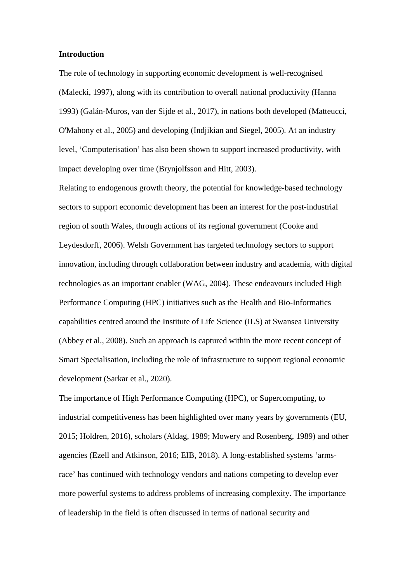### **Introduction**

The role of technology in supporting economic development is well-recognised (Malecki, 1997), along with its contribution to overall national productivity (Hanna 1993) (Galán-Muros, van der Sijde et al., 2017), in nations both developed (Matteucci, O'Mahony et al., 2005) and developing (Indjikian and Siegel, 2005). At an industry level, 'Computerisation' has also been shown to support increased productivity, with impact developing over time (Brynjolfsson and Hitt, 2003).

Relating to endogenous growth theory, the potential for knowledge-based technology sectors to support economic development has been an interest for the post-industrial region of south Wales, through actions of its regional government (Cooke and Leydesdorff, 2006). Welsh Government has targeted technology sectors to support innovation, including through collaboration between industry and academia, with digital technologies as an important enabler (WAG, 2004). These endeavours included High Performance Computing (HPC) initiatives such as the Health and Bio-Informatics capabilities centred around the Institute of Life Science (ILS) at Swansea University (Abbey et al., 2008). Such an approach is captured within the more recent concept of Smart Specialisation, including the role of infrastructure to support regional economic development (Sarkar et al., 2020).

The importance of High Performance Computing (HPC), or Supercomputing, to industrial competitiveness has been highlighted over many years by governments (EU, 2015; Holdren, 2016), scholars (Aldag, 1989; Mowery and Rosenberg, 1989) and other agencies (Ezell and Atkinson, 2016; EIB, 2018). A long-established systems 'armsrace' has continued with technology vendors and nations competing to develop ever more powerful systems to address problems of increasing complexity. The importance of leadership in the field is often discussed in terms of national security and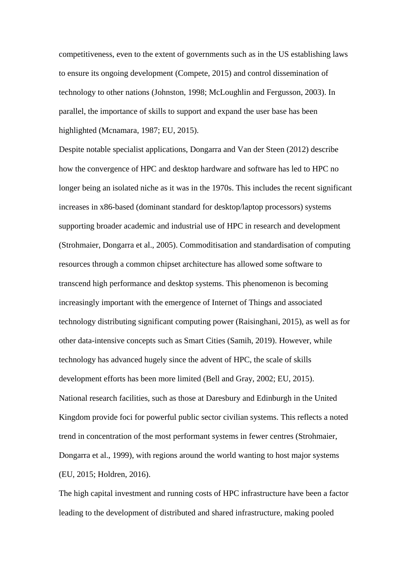competitiveness, even to the extent of governments such as in the US establishing laws to ensure its ongoing development (Compete, 2015) and control dissemination of technology to other nations (Johnston, 1998; McLoughlin and Fergusson, 2003). In parallel, the importance of skills to support and expand the user base has been highlighted (Mcnamara, 1987; EU, 2015).

Despite notable specialist applications, Dongarra and Van der Steen (2012) describe how the convergence of HPC and desktop hardware and software has led to HPC no longer being an isolated niche as it was in the 1970s. This includes the recent significant increases in x86-based (dominant standard for desktop/laptop processors) systems supporting broader academic and industrial use of HPC in research and development (Strohmaier, Dongarra et al., 2005). Commoditisation and standardisation of computing resources through a common chipset architecture has allowed some software to transcend high performance and desktop systems. This phenomenon is becoming increasingly important with the emergence of Internet of Things and associated technology distributing significant computing power (Raisinghani, 2015), as well as for other data-intensive concepts such as Smart Cities (Samih, 2019). However, while technology has advanced hugely since the advent of HPC, the scale of skills development efforts has been more limited (Bell and Gray, 2002; EU, 2015). National research facilities, such as those at Daresbury and Edinburgh in the United Kingdom provide foci for powerful public sector civilian systems. This reflects a noted trend in concentration of the most performant systems in fewer centres (Strohmaier, Dongarra et al., 1999), with regions around the world wanting to host major systems (EU, 2015; Holdren, 2016).

The high capital investment and running costs of HPC infrastructure have been a factor leading to the development of distributed and shared infrastructure, making pooled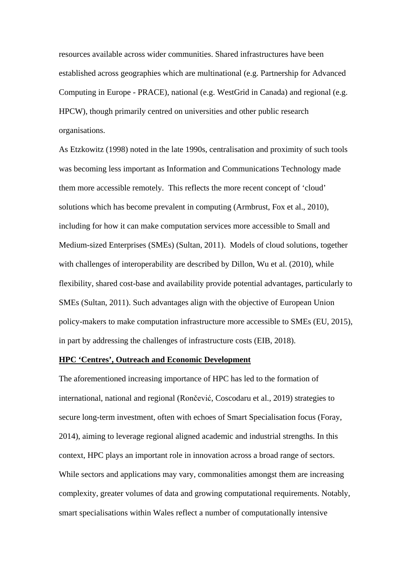resources available across wider communities. Shared infrastructures have been established across geographies which are multinational (e.g. Partnership for Advanced Computing in Europe - PRACE), national (e.g. WestGrid in Canada) and regional (e.g. HPCW), though primarily centred on universities and other public research organisations.

As Etzkowitz (1998) noted in the late 1990s, centralisation and proximity of such tools was becoming less important as Information and Communications Technology made them more accessible remotely. This reflects the more recent concept of 'cloud' solutions which has become prevalent in computing (Armbrust, Fox et al., 2010), including for how it can make computation services more accessible to Small and Medium-sized Enterprises (SMEs) (Sultan, 2011). Models of cloud solutions, together with challenges of interoperability are described by Dillon, Wu et al. (2010), while flexibility, shared cost-base and availability provide potential advantages, particularly to SMEs (Sultan, 2011). Such advantages align with the objective of European Union policy-makers to make computation infrastructure more accessible to SMEs (EU, 2015), in part by addressing the challenges of infrastructure costs (EIB, 2018).

### **HPC 'Centres', Outreach and Economic Development**

The aforementioned increasing importance of HPC has led to the formation of international, national and regional (Rončević, Coscodaru et al., 2019) strategies to secure long-term investment, often with echoes of Smart Specialisation focus (Foray, 2014), aiming to leverage regional aligned academic and industrial strengths. In this context, HPC plays an important role in innovation across a broad range of sectors. While sectors and applications may vary, commonalities amongst them are increasing complexity, greater volumes of data and growing computational requirements. Notably, smart specialisations within Wales reflect a number of computationally intensive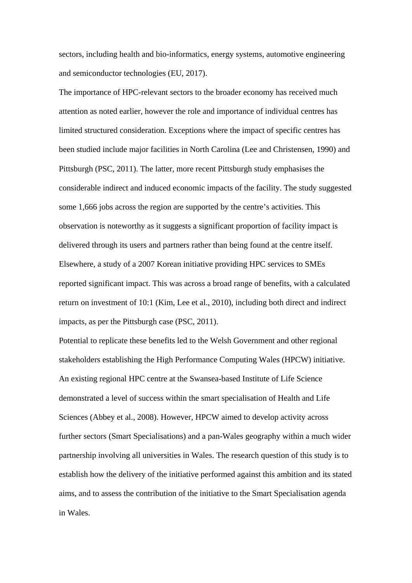sectors, including health and bio-informatics, energy systems, automotive engineering and semiconductor technologies (EU, 2017).

The importance of HPC-relevant sectors to the broader economy has received much attention as noted earlier, however the role and importance of individual centres has limited structured consideration. Exceptions where the impact of specific centres has been studied include major facilities in North Carolina (Lee and Christensen, 1990) and Pittsburgh (PSC, 2011). The latter, more recent Pittsburgh study emphasises the considerable indirect and induced economic impacts of the facility. The study suggested some 1,666 jobs across the region are supported by the centre's activities. This observation is noteworthy as it suggests a significant proportion of facility impact is delivered through its users and partners rather than being found at the centre itself. Elsewhere, a study of a 2007 Korean initiative providing HPC services to SMEs reported significant impact. This was across a broad range of benefits, with a calculated return on investment of 10:1 (Kim, Lee et al., 2010), including both direct and indirect impacts, as per the Pittsburgh case (PSC, 2011).

Potential to replicate these benefits led to the Welsh Government and other regional stakeholders establishing the High Performance Computing Wales (HPCW) initiative. An existing regional HPC centre at the Swansea-based Institute of Life Science demonstrated a level of success within the smart specialisation of Health and Life Sciences (Abbey et al., 2008). However, HPCW aimed to develop activity across further sectors (Smart Specialisations) and a pan-Wales geography within a much wider partnership involving all universities in Wales. The research question of this study is to establish how the delivery of the initiative performed against this ambition and its stated aims, and to assess the contribution of the initiative to the Smart Specialisation agenda in Wales.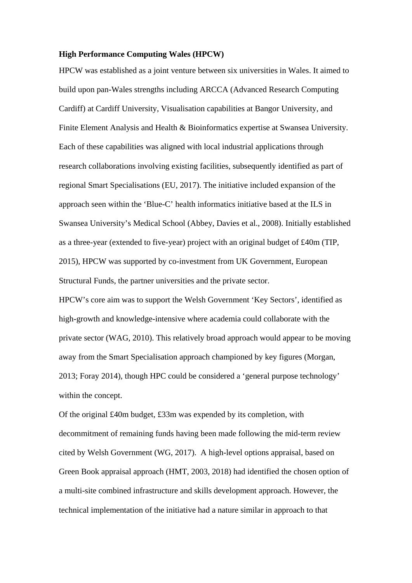### **High Performance Computing Wales (HPCW)**

HPCW was established as a joint venture between six universities in Wales. It aimed to build upon pan-Wales strengths including ARCCA (Advanced Research Computing Cardiff) at Cardiff University, Visualisation capabilities at Bangor University, and Finite Element Analysis and Health & Bioinformatics expertise at Swansea University. Each of these capabilities was aligned with local industrial applications through research collaborations involving existing facilities, subsequently identified as part of regional Smart Specialisations (EU, 2017). The initiative included expansion of the approach seen within the 'Blue-C' health informatics initiative based at the ILS in Swansea University's Medical School (Abbey, Davies et al., 2008). Initially established as a three-year (extended to five-year) project with an original budget of £40m (TIP, 2015), HPCW was supported by co-investment from UK Government, European Structural Funds, the partner universities and the private sector.

HPCW's core aim was to support the Welsh Government 'Key Sectors', identified as high-growth and knowledge-intensive where academia could collaborate with the private sector (WAG, 2010). This relatively broad approach would appear to be moving away from the Smart Specialisation approach championed by key figures (Morgan, 2013; Foray 2014), though HPC could be considered a 'general purpose technology' within the concept.

Of the original £40m budget, £33m was expended by its completion, with decommitment of remaining funds having been made following the mid-term review cited by Welsh Government (WG, 2017). A high-level options appraisal, based on Green Book appraisal approach (HMT, 2003, 2018) had identified the chosen option of a multi-site combined infrastructure and skills development approach. However, the technical implementation of the initiative had a nature similar in approach to that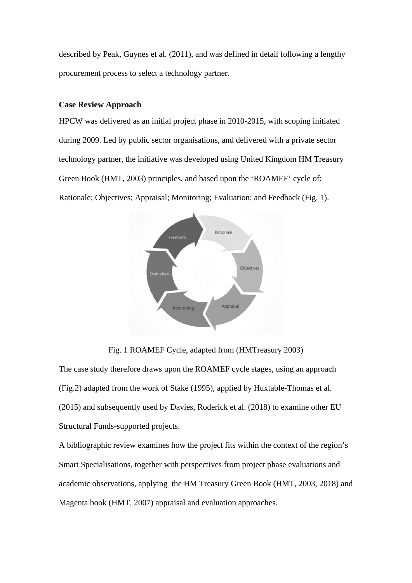described by Peak, Guynes et al. (2011), and was defined in detail following a lengthy procurement process to select a technology partner.

# **Case Review Approach**

HPCW was delivered as an initial project phase in 2010-2015, with scoping initiated during 2009. Led by public sector organisations, and delivered with a private sector technology partner, the initiative was developed using United Kingdom HM Treasury Green Book (HMT, 2003) principles, and based upon the 'ROAMEF' cycle of: Rationale; Objectives; Appraisal; Monitoring; Evaluation; and Feedback (Fig. 1).



Fig. 1 ROAMEF Cycle, adapted from (HMTreasury 2003)

The case study therefore draws upon the ROAMEF cycle stages, using an approach (Fig.2) adapted from the work of Stake (1995), applied by Huxtable-Thomas et al. (2015) and subsequently used by Davies, Roderick et al. (2018) to examine other EU Structural Funds-supported projects.

A bibliographic review examines how the project fits within the context of the region's Smart Specialisations, together with perspectives from project phase evaluations and academic observations, applying the HM Treasury Green Book (HMT, 2003, 2018) and Magenta book (HMT, 2007) appraisal and evaluation approaches.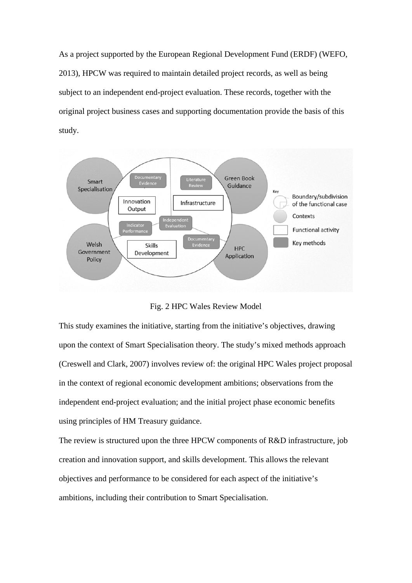As a project supported by the European Regional Development Fund (ERDF) (WEFO, 2013), HPCW was required to maintain detailed project records, as well as being subject to an independent end-project evaluation. These records, together with the original project business cases and supporting documentation provide the basis of this study.



Fig. 2 HPC Wales Review Model

This study examines the initiative, starting from the initiative's objectives, drawing upon the context of Smart Specialisation theory. The study's mixed methods approach (Creswell and Clark, 2007) involves review of: the original HPC Wales project proposal in the context of regional economic development ambitions; observations from the independent end-project evaluation; and the initial project phase economic benefits using principles of HM Treasury guidance.

The review is structured upon the three HPCW components of R&D infrastructure, job creation and innovation support, and skills development. This allows the relevant objectives and performance to be considered for each aspect of the initiative's ambitions, including their contribution to Smart Specialisation.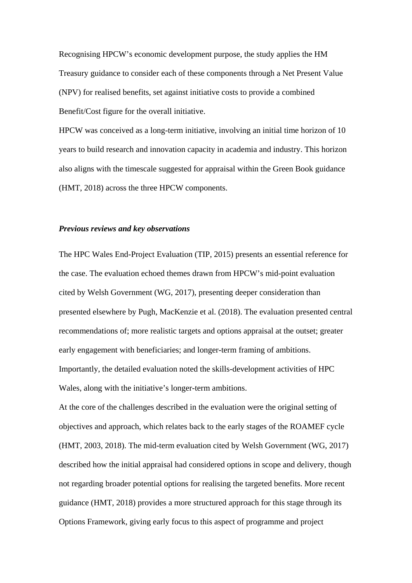Recognising HPCW's economic development purpose, the study applies the HM Treasury guidance to consider each of these components through a Net Present Value (NPV) for realised benefits, set against initiative costs to provide a combined Benefit/Cost figure for the overall initiative.

HPCW was conceived as a long-term initiative, involving an initial time horizon of 10 years to build research and innovation capacity in academia and industry. This horizon also aligns with the timescale suggested for appraisal within the Green Book guidance (HMT, 2018) across the three HPCW components.

### *Previous reviews and key observations*

The HPC Wales End-Project Evaluation (TIP, 2015) presents an essential reference for the case. The evaluation echoed themes drawn from HPCW's mid-point evaluation cited by Welsh Government (WG, 2017), presenting deeper consideration than presented elsewhere by Pugh, MacKenzie et al. (2018). The evaluation presented central recommendations of; more realistic targets and options appraisal at the outset; greater early engagement with beneficiaries; and longer-term framing of ambitions. Importantly, the detailed evaluation noted the skills-development activities of HPC Wales, along with the initiative's longer-term ambitions.

At the core of the challenges described in the evaluation were the original setting of objectives and approach, which relates back to the early stages of the ROAMEF cycle (HMT, 2003, 2018). The mid-term evaluation cited by Welsh Government (WG, 2017) described how the initial appraisal had considered options in scope and delivery, though not regarding broader potential options for realising the targeted benefits. More recent guidance (HMT, 2018) provides a more structured approach for this stage through its Options Framework, giving early focus to this aspect of programme and project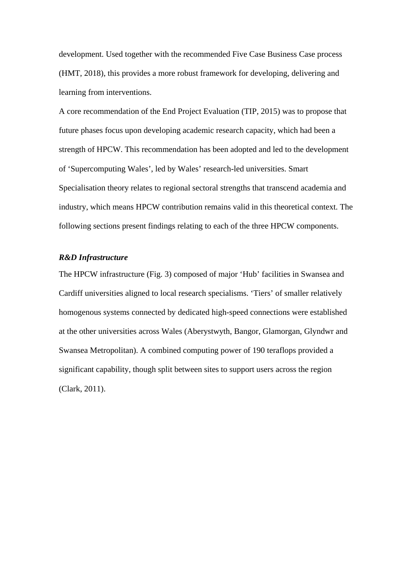development. Used together with the recommended Five Case Business Case process (HMT, 2018), this provides a more robust framework for developing, delivering and learning from interventions.

A core recommendation of the End Project Evaluation (TIP, 2015) was to propose that future phases focus upon developing academic research capacity, which had been a strength of HPCW. This recommendation has been adopted and led to the development of 'Supercomputing Wales', led by Wales' research-led universities. Smart Specialisation theory relates to regional sectoral strengths that transcend academia and industry, which means HPCW contribution remains valid in this theoretical context. The following sections present findings relating to each of the three HPCW components.

# *R&D Infrastructure*

The HPCW infrastructure (Fig. 3) composed of major 'Hub' facilities in Swansea and Cardiff universities aligned to local research specialisms. 'Tiers' of smaller relatively homogenous systems connected by dedicated high-speed connections were established at the other universities across Wales (Aberystwyth, Bangor, Glamorgan, Glyndwr and Swansea Metropolitan). A combined computing power of 190 teraflops provided a significant capability, though split between sites to support users across the region (Clark, 2011).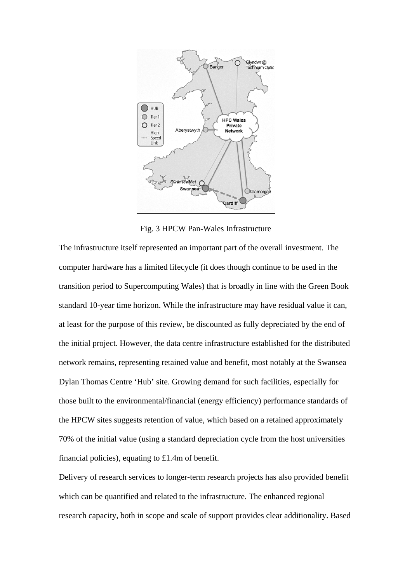

Fig. 3 HPCW Pan-Wales Infrastructure

The infrastructure itself represented an important part of the overall investment. The computer hardware has a limited lifecycle (it does though continue to be used in the transition period to Supercomputing Wales) that is broadly in line with the Green Book standard 10-year time horizon. While the infrastructure may have residual value it can, at least for the purpose of this review, be discounted as fully depreciated by the end of the initial project. However, the data centre infrastructure established for the distributed network remains, representing retained value and benefit, most notably at the Swansea Dylan Thomas Centre 'Hub' site. Growing demand for such facilities, especially for those built to the environmental/financial (energy efficiency) performance standards of the HPCW sites suggests retention of value, which based on a retained approximately 70% of the initial value (using a standard depreciation cycle from the host universities financial policies), equating to £1.4m of benefit.

Delivery of research services to longer-term research projects has also provided benefit which can be quantified and related to the infrastructure. The enhanced regional research capacity, both in scope and scale of support provides clear additionality. Based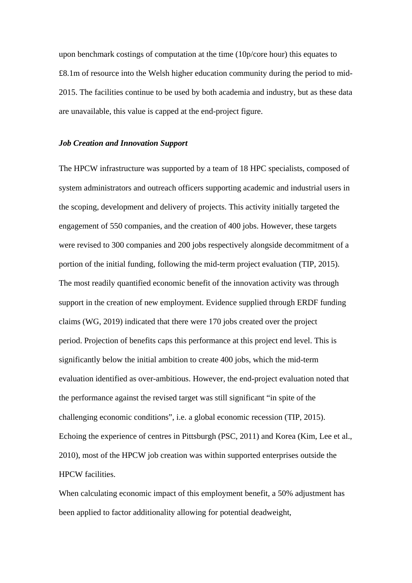upon benchmark costings of computation at the time (10p/core hour) this equates to £8.1m of resource into the Welsh higher education community during the period to mid-2015. The facilities continue to be used by both academia and industry, but as these data are unavailable, this value is capped at the end-project figure.

### *Job Creation and Innovation Support*

The HPCW infrastructure was supported by a team of 18 HPC specialists, composed of system administrators and outreach officers supporting academic and industrial users in the scoping, development and delivery of projects. This activity initially targeted the engagement of 550 companies, and the creation of 400 jobs. However, these targets were revised to 300 companies and 200 jobs respectively alongside decommitment of a portion of the initial funding, following the mid-term project evaluation (TIP, 2015). The most readily quantified economic benefit of the innovation activity was through support in the creation of new employment. Evidence supplied through ERDF funding claims (WG, 2019) indicated that there were 170 jobs created over the project period. Projection of benefits caps this performance at this project end level. This is significantly below the initial ambition to create 400 jobs, which the mid-term evaluation identified as over-ambitious. However, the end-project evaluation noted that the performance against the revised target was still significant "in spite of the challenging economic conditions", i.e. a global economic recession (TIP, 2015). Echoing the experience of centres in Pittsburgh (PSC, 2011) and Korea (Kim, Lee et al., 2010), most of the HPCW job creation was within supported enterprises outside the HPCW facilities.

When calculating economic impact of this employment benefit, a 50% adjustment has been applied to factor additionality allowing for potential deadweight,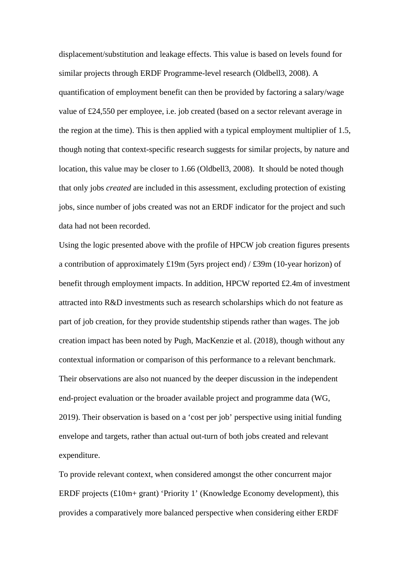displacement/substitution and leakage effects. This value is based on levels found for similar projects through ERDF Programme-level research (Oldbell3, 2008). A quantification of employment benefit can then be provided by factoring a salary/wage value of £24,550 per employee, i.e. job created (based on a sector relevant average in the region at the time). This is then applied with a typical employment multiplier of 1.5, though noting that context-specific research suggests for similar projects, by nature and location, this value may be closer to 1.66 (Oldbell3, 2008). It should be noted though that only jobs *created* are included in this assessment, excluding protection of existing jobs, since number of jobs created was not an ERDF indicator for the project and such data had not been recorded.

Using the logic presented above with the profile of HPCW job creation figures presents a contribution of approximately £19m (5yrs project end) / £39m (10-year horizon) of benefit through employment impacts. In addition, HPCW reported £2.4m of investment attracted into R&D investments such as research scholarships which do not feature as part of job creation, for they provide studentship stipends rather than wages. The job creation impact has been noted by Pugh, MacKenzie et al. (2018), though without any contextual information or comparison of this performance to a relevant benchmark. Their observations are also not nuanced by the deeper discussion in the independent end-project evaluation or the broader available project and programme data (WG, 2019). Their observation is based on a 'cost per job' perspective using initial funding envelope and targets, rather than actual out-turn of both jobs created and relevant expenditure.

To provide relevant context, when considered amongst the other concurrent major ERDF projects (£10m+ grant) 'Priority 1' (Knowledge Economy development), this provides a comparatively more balanced perspective when considering either ERDF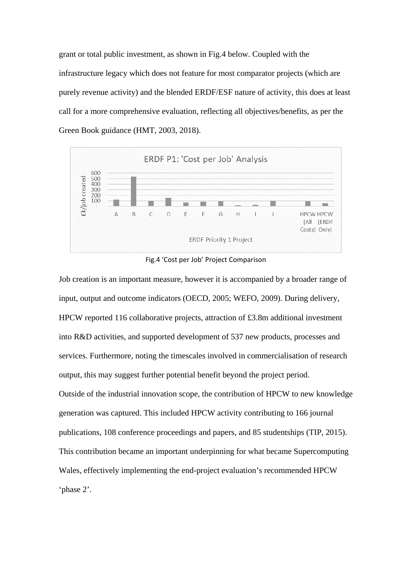grant or total public investment, as shown in Fig.4 below. Coupled with the infrastructure legacy which does not feature for most comparator projects (which are purely revenue activity) and the blended ERDF/ESF nature of activity, this does at least call for a more comprehensive evaluation, reflecting all objectives/benefits, as per the Green Book guidance (HMT, 2003, 2018).



Fig.4 'Cost per Job' Project Comparison

Job creation is an important measure, however it is accompanied by a broader range of input, output and outcome indicators (OECD, 2005; WEFO, 2009). During delivery, HPCW reported 116 collaborative projects, attraction of £3.8m additional investment into R&D activities, and supported development of 537 new products, processes and services. Furthermore, noting the timescales involved in commercialisation of research output, this may suggest further potential benefit beyond the project period. Outside of the industrial innovation scope, the contribution of HPCW to new knowledge generation was captured. This included HPCW activity contributing to 166 journal publications, 108 conference proceedings and papers, and 85 studentships (TIP, 2015). This contribution became an important underpinning for what became Supercomputing Wales, effectively implementing the end-project evaluation's recommended HPCW 'phase 2'.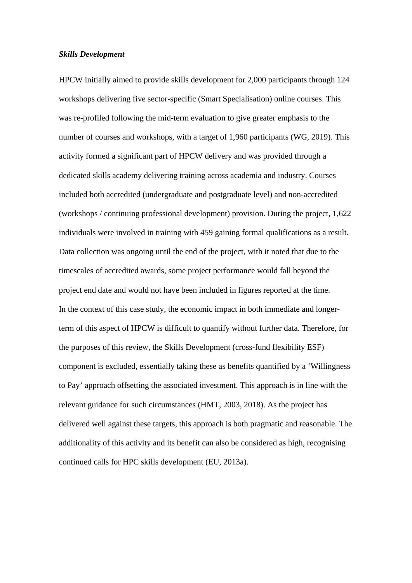### *Skills Development*

HPCW initially aimed to provide skills development for 2,000 participants through 124 workshops delivering five sector-specific (Smart Specialisation) online courses. This was re-profiled following the mid-term evaluation to give greater emphasis to the number of courses and workshops, with a target of 1,960 participants (WG, 2019). This activity formed a significant part of HPCW delivery and was provided through a dedicated skills academy delivering training across academia and industry. Courses included both accredited (undergraduate and postgraduate level) and non-accredited (workshops / continuing professional development) provision. During the project, 1,622 individuals were involved in training with 459 gaining formal qualifications as a result. Data collection was ongoing until the end of the project, with it noted that due to the timescales of accredited awards, some project performance would fall beyond the project end date and would not have been included in figures reported at the time. In the context of this case study, the economic impact in both immediate and longerterm of this aspect of HPCW is difficult to quantify without further data. Therefore, for the purposes of this review, the Skills Development (cross-fund flexibility ESF) component is excluded, essentially taking these as benefits quantified by a 'Willingness to Pay' approach offsetting the associated investment. This approach is in line with the relevant guidance for such circumstances (HMT, 2003, 2018). As the project has delivered well against these targets, this approach is both pragmatic and reasonable. The additionality of this activity and its benefit can also be considered as high, recognising continued calls for HPC skills development (EU, 2013a).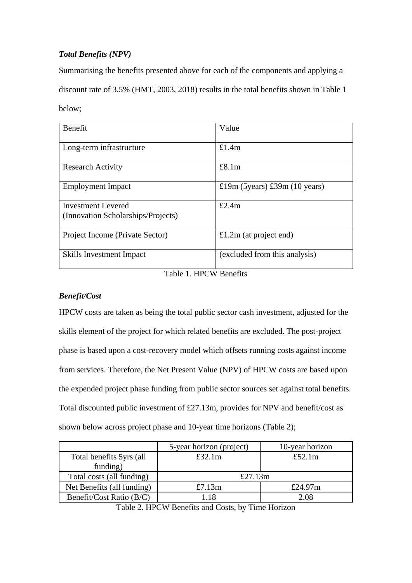# *Total Benefits (NPV)*

Summarising the benefits presented above for each of the components and applying a discount rate of 3.5% (HMT, 2003, 2018) results in the total benefits shown in Table 1 below;

| Benefit                            | Value                          |  |
|------------------------------------|--------------------------------|--|
| Long-term infrastructure           | £1.4 $m$                       |  |
| <b>Research Activity</b>           | £8.1m                          |  |
| <b>Employment Impact</b>           | £19m (5 years) £39m (10 years) |  |
| Investment Levered                 | f2.4m                          |  |
| (Innovation Scholarships/Projects) |                                |  |
| Project Income (Private Sector)    | £1.2m (at project end)         |  |
| <b>Skills Investment Impact</b>    | (excluded from this analysis)  |  |

Table 1. HPCW Benefits

# *Benefit/Cost*

HPCW costs are taken as being the total public sector cash investment, adjusted for the skills element of the project for which related benefits are excluded. The post-project phase is based upon a cost-recovery model which offsets running costs against income from services. Therefore, the Net Present Value (NPV) of HPCW costs are based upon the expended project phase funding from public sector sources set against total benefits. Total discounted public investment of £27.13m, provides for NPV and benefit/cost as shown below across project phase and 10-year time horizons (Table 2);

|                            | 5-year horizon (project) | 10-year horizon |
|----------------------------|--------------------------|-----------------|
| Total benefits 5yrs (all   | £32.1 $m$                | £52.1 $m$       |
| funding)                   |                          |                 |
| Total costs (all funding)  | £27.13 $m$               |                 |
| Net Benefits (all funding) | £7.13 $m$                | £24.97m         |
| Benefit/Cost Ratio (B/C)   | $-18$                    | 2.08            |

Table 2. HPCW Benefits and Costs, by Time Horizon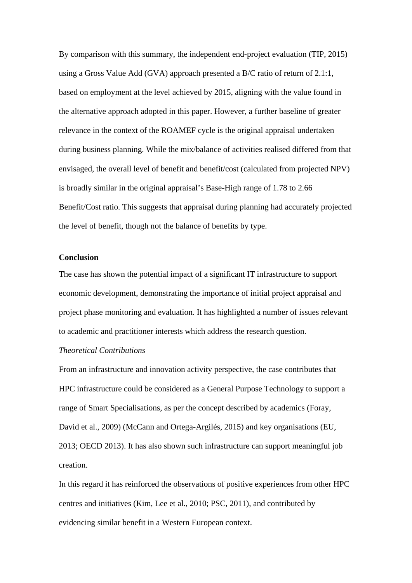By comparison with this summary, the independent end-project evaluation (TIP, 2015) using a Gross Value Add (GVA) approach presented a B/C ratio of return of 2.1:1, based on employment at the level achieved by 2015, aligning with the value found in the alternative approach adopted in this paper. However, a further baseline of greater relevance in the context of the ROAMEF cycle is the original appraisal undertaken during business planning. While the mix/balance of activities realised differed from that envisaged, the overall level of benefit and benefit/cost (calculated from projected NPV) is broadly similar in the original appraisal's Base-High range of 1.78 to 2.66 Benefit/Cost ratio. This suggests that appraisal during planning had accurately projected the level of benefit, though not the balance of benefits by type.

## **Conclusion**

The case has shown the potential impact of a significant IT infrastructure to support economic development, demonstrating the importance of initial project appraisal and project phase monitoring and evaluation. It has highlighted a number of issues relevant to academic and practitioner interests which address the research question.

### *Theoretical Contributions*

From an infrastructure and innovation activity perspective, the case contributes that HPC infrastructure could be considered as a General Purpose Technology to support a range of Smart Specialisations, as per the concept described by academics (Foray, David et al., 2009) (McCann and Ortega-Argilés, 2015) and key organisations (EU, 2013; OECD 2013). It has also shown such infrastructure can support meaningful job creation.

In this regard it has reinforced the observations of positive experiences from other HPC centres and initiatives (Kim, Lee et al., 2010; PSC, 2011), and contributed by evidencing similar benefit in a Western European context.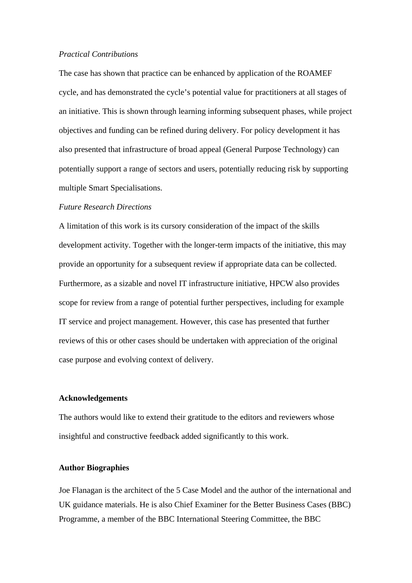# *Practical Contributions*

The case has shown that practice can be enhanced by application of the ROAMEF cycle, and has demonstrated the cycle's potential value for practitioners at all stages of an initiative. This is shown through learning informing subsequent phases, while project objectives and funding can be refined during delivery. For policy development it has also presented that infrastructure of broad appeal (General Purpose Technology) can potentially support a range of sectors and users, potentially reducing risk by supporting multiple Smart Specialisations.

### *Future Research Directions*

A limitation of this work is its cursory consideration of the impact of the skills development activity. Together with the longer-term impacts of the initiative, this may provide an opportunity for a subsequent review if appropriate data can be collected. Furthermore, as a sizable and novel IT infrastructure initiative, HPCW also provides scope for review from a range of potential further perspectives, including for example IT service and project management. However, this case has presented that further reviews of this or other cases should be undertaken with appreciation of the original case purpose and evolving context of delivery.

### **Acknowledgements**

The authors would like to extend their gratitude to the editors and reviewers whose insightful and constructive feedback added significantly to this work.

### **Author Biographies**

Joe Flanagan is the architect of the 5 Case Model and the author of the international and UK guidance materials. He is also Chief Examiner for the Better Business Cases (BBC) Programme, a member of the BBC International Steering Committee, the BBC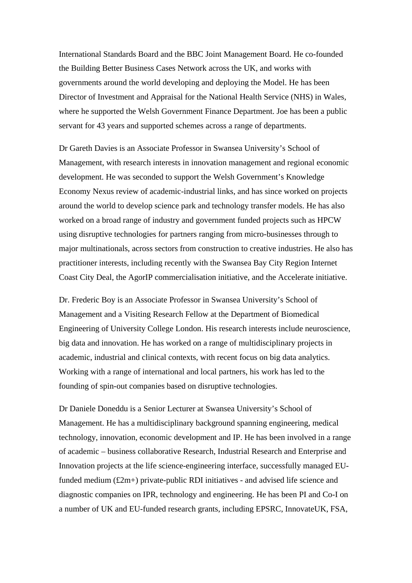International Standards Board and the BBC Joint Management Board. He co-founded the Building Better Business Cases Network across the UK, and works with governments around the world developing and deploying the Model. He has been Director of Investment and Appraisal for the National Health Service (NHS) in Wales, where he supported the Welsh Government Finance Department. Joe has been a public servant for 43 years and supported schemes across a range of departments.

Dr Gareth Davies is an Associate Professor in Swansea University's School of Management, with research interests in innovation management and regional economic development. He was seconded to support the Welsh Government's Knowledge Economy Nexus review of academic-industrial links, and has since worked on projects around the world to develop science park and technology transfer models. He has also worked on a broad range of industry and government funded projects such as HPCW using disruptive technologies for partners ranging from micro-businesses through to major multinationals, across sectors from construction to creative industries. He also has practitioner interests, including recently with the Swansea Bay City Region Internet Coast City Deal, the AgorIP commercialisation initiative, and the Accelerate initiative.

Dr. Frederic Boy is an Associate Professor in Swansea University's School of Management and a Visiting Research Fellow at the Department of Biomedical Engineering of University College London. His research interests include neuroscience, big data and innovation. He has worked on a range of multidisciplinary projects in academic, industrial and clinical contexts, with recent focus on big data analytics. Working with a range of international and local partners, his work has led to the founding of spin-out companies based on disruptive technologies.

Dr Daniele Doneddu is a Senior Lecturer at Swansea University's School of Management. He has a multidisciplinary background spanning engineering, medical technology, innovation, economic development and IP. He has been involved in a range of academic – business collaborative Research, Industrial Research and Enterprise and Innovation projects at the life science-engineering interface, successfully managed EUfunded medium  $(f2m+)$  private-public RDI initiatives - and advised life science and diagnostic companies on IPR, technology and engineering. He has been PI and Co-I on a number of UK and EU-funded research grants, including EPSRC, InnovateUK, FSA,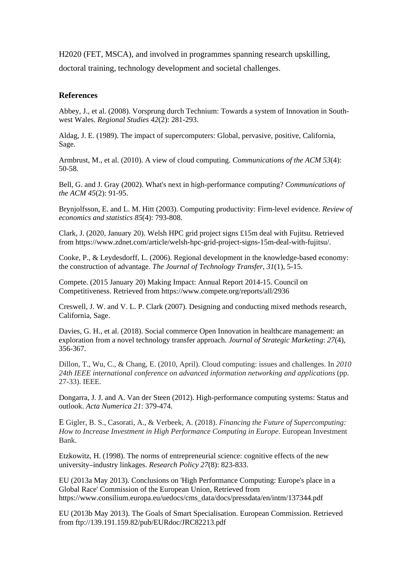H2020 (FET, MSCA), and involved in programmes spanning research upskilling,

doctoral training, technology development and societal challenges.

## **References**

Abbey, J., et al. (2008). Vorsprung durch Technium: Towards a system of Innovation in Southwest Wales. *Regional Studies 42*(2): 281-293.

Aldag, J. E. (1989). The impact of supercomputers: Global, pervasive, positive, California, Sage.

Armbrust, M., et al. (2010). A view of cloud computing. *Communications of the ACM 53*(4): 50-58.

Bell, G. and J. Gray (2002). What's next in high-performance computing? *Communications of the ACM 45*(2): 91-95.

Brynjolfsson, E. and L. M. Hitt (2003). Computing productivity: Firm-level evidence. *Review of economics and statistics 85*(4): 793-808.

Clark, J. (2020, January 20). Welsh HPC grid project signs £15m deal with Fujitsu. Retrieved from https://www.zdnet.com/article/welsh-hpc-grid-project-signs-15m-deal-with-fujitsu/.

Cooke, P., & Leydesdorff, L. (2006). Regional development in the knowledge-based economy: the construction of advantage. *The Journal of Technology Transfer, 31*(1), 5-15.

Compete. (2015 January 20) Making Impact: Annual Report 2014-15. Council on Competitiveness. Retrieved from https://www.compete.org/reports/all/2936

Creswell, J. W. and V. L. P. Clark (2007). Designing and conducting mixed methods research, California, Sage.

Davies, G. H., et al. (2018). Social commerce Open Innovation in healthcare management: an exploration from a novel technology transfer approach. *Journal of Strategic Marketing*: *27*(4), 356-367.

Dillon, T., Wu, C., & Chang, E. (2010, April). Cloud computing: issues and challenges. In *2010 24th IEEE international conference on advanced information networking and applications* (pp. 27-33). IEEE.

Dongarra, J. J. and A. Van der Steen (2012). High-performance computing systems: Status and outlook. *Acta Numerica 21*: 379-474.

E Gigler, B. S., Casorati, A., & Verbeek, A. (2018). *Financing the Future of Supercomputing: How to Increase Investment in High Performance Computing in Europe*. European Investment Bank.

Etzkowitz, H. (1998). The norms of entrepreneurial science: cognitive effects of the new university–industry linkages. *Research Policy 27*(8): 823-833.

EU (2013a May 2013). Conclusions on 'High Performance Computing: Europe's place in a Global Race' Commission of the European Union, Retrieved from https://www.consilium.europa.eu/uedocs/cms\_data/docs/pressdata/en/intm/137344.pdf

EU (2013b May 2013). The Goals of Smart Specialisation. European Commission. Retrieved from ftp://139.191.159.82/pub/EURdoc/JRC82213.pdf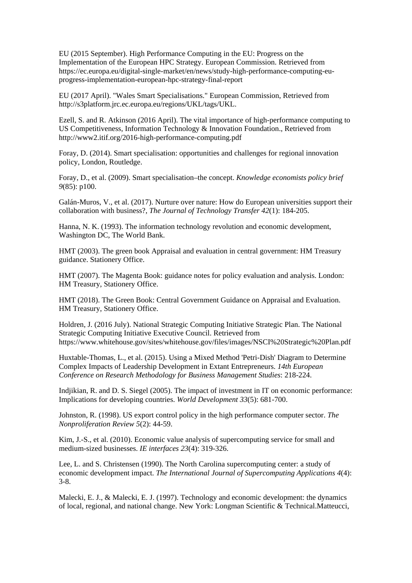EU (2015 September). High Performance Computing in the EU: Progress on the Implementation of the European HPC Strategy. European Commission. Retrieved from https://ec.europa.eu/digital-single-market/en/news/study-high-performance-computing-euprogress-implementation-european-hpc-strategy-final-report

EU (2017 April). "Wales Smart Specialisations." European Commission, Retrieved from http://s3platform.jrc.ec.europa.eu/regions/UKL/tags/UKL.

Ezell, S. and R. Atkinson (2016 April). The vital importance of high-performance computing to US Competitiveness, Information Technology & Innovation Foundation., Retrieved from http://www2.itif.org/2016-high-performance-computing.pdf

Foray, D. (2014). Smart specialisation: opportunities and challenges for regional innovation policy, London, Routledge.

Foray, D., et al. (2009). Smart specialisation–the concept. *Knowledge economists policy brief 9*(85): p100.

Galán-Muros, V., et al. (2017). Nurture over nature: How do European universities support their collaboration with business?, *The Journal of Technology Transfer 42*(1): 184-205.

Hanna, N. K. (1993). The information technology revolution and economic development, Washington DC, The World Bank.

HMT (2003). The green book Appraisal and evaluation in central government: HM Treasury guidance. Stationery Office.

HMT (2007). The Magenta Book: guidance notes for policy evaluation and analysis. London: HM Treasury, Stationery Office.

HMT (2018). The Green Book: Central Government Guidance on Appraisal and Evaluation. HM Treasury, Stationery Office.

Holdren, J. (2016 July). National Strategic Computing Initiative Strategic Plan. The National Strategic Computing Initiative Executive Council. Retrieved from https://www.whitehouse.gov/sites/whitehouse.gov/files/images/NSCI%20Strategic%20Plan.pdf

Huxtable-Thomas, L., et al. (2015). Using a Mixed Method 'Petri-Dish' Diagram to Determine Complex Impacts of Leadership Development in Extant Entrepreneurs. *14th European Conference on Research Methodology for Business Management Studies*: 218-224.

Indjikian, R. and D. S. Siegel (2005). The impact of investment in IT on economic performance: Implications for developing countries. *World Development 33*(5): 681-700.

Johnston, R. (1998). US export control policy in the high performance computer sector. *The Nonproliferation Review 5*(2): 44-59.

Kim, J.-S., et al. (2010). Economic value analysis of supercomputing service for small and medium-sized businesses. *IE interfaces 23*(4): 319-326.

Lee, L. and S. Christensen (1990). The North Carolina supercomputing center: a study of economic development impact. *The International Journal of Supercomputing Applications 4*(4): 3-8.

Malecki, E. J., & Malecki, E. J. (1997). Technology and economic development: the dynamics of local, regional, and national change. New York: Longman Scientific & Technical.Matteucci,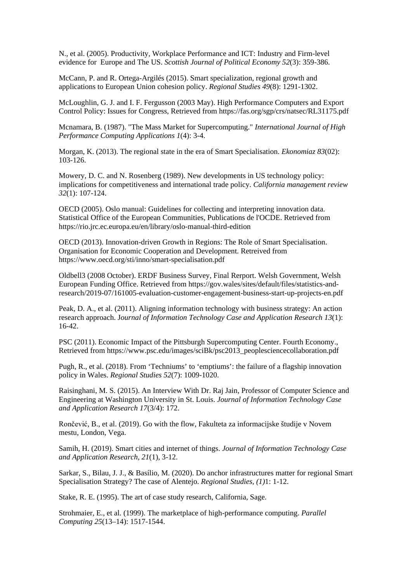N., et al. (2005). Productivity, Workplace Performance and ICT: Industry and Firm-level evidence for Europe and The US. *Scottish Journal of Political Economy 52*(3): 359-386.

McCann, P. and R. Ortega-Argilés (2015). Smart specialization, regional growth and applications to European Union cohesion policy. *Regional Studies 49*(8): 1291-1302.

McLoughlin, G. J. and I. F. Fergusson (2003 May). High Performance Computers and Export Control Policy: Issues for Congress, Retrieved from <https://fas.org/sgp/crs/natsec/RL31175.pdf>

Mcnamara, B. (1987). "The Mass Market for Supercomputing." *International Journal of High Performance Computing Applications 1*(4): 3-4.

Morgan, K. (2013). The regional state in the era of Smart Specialisation. *Ekonomiaz 83*(02): 103-126.

Mowery, D. C. and N. Rosenberg (1989). New developments in US technology policy: implications for competitiveness and international trade policy. *California management review 32*(1): 107-124.

OECD (2005). Oslo manual: Guidelines for collecting and interpreting innovation data. Statistical Office of the European Communities, Publications de l'OCDE. Retrieved from <https://rio.jrc.ec.europa.eu/en/library/oslo-manual-third-edition>

OECD (2013). Innovation-driven Growth in Regions: The Role of Smart Specialisation. Organisation for Economic Cooperation and Development. Retreived from <https://www.oecd.org/sti/inno/smart-specialisation.pdf>

Oldbell3 (2008 October). ERDF Business Survey, Final Rerport. Welsh Government, Welsh European Funding Office. Retrieved from [https://gov.wales/sites/default/files/statistics-and](https://gov.wales/sites/default/files/statistics-and-research/2019-07/161005-evaluation-customer-engagement-business-start-up-projects-en.pdf)[research/2019-07/161005-evaluation-customer-engagement-business-start-up-projects-en.pdf](https://gov.wales/sites/default/files/statistics-and-research/2019-07/161005-evaluation-customer-engagement-business-start-up-projects-en.pdf)

Peak, D. A., et al. (2011). Aligning information technology with business strategy: An action research approach. J*ournal of Information Technology Case and Application Research 13*(1): 16-42.

PSC (2011). Economic Impact of the Pittsburgh Supercomputing Center. Fourth Economy., Retrieved from https://www.psc.edu/images/sciBk/psc2013\_peoplesciencecollaboration.pdf

Pugh, R., et al. (2018). From 'Techniums' to 'emptiums': the failure of a flagship innovation policy in Wales. *Regional Studies 52*(7): 1009-1020.

Raisinghani, M. S. (2015). An Interview With Dr. Raj Jain, Professor of Computer Science and Engineering at Washington University in St. Louis. *Journal of Information Technology Case and Application Research 17*(3/4): 172.

Rončević, B., et al. (2019). Go with the flow, Fakulteta za informacijske študije v Novem mestu, London, Vega.

Samih, H. (2019). Smart cities and internet of things. *Journal of Information Technology Case and Application Research, 21*(1), 3-12.

Sarkar, S., Bilau, J. J., & Basílio, M. (2020). Do anchor infrastructures matter for regional Smart Specialisation Strategy? The case of Alentejo. *Regional Studies, (1)*1: 1-12.

Stake, R. E. (1995). The art of case study research, California, Sage.

Strohmaier, E., et al. (1999). The marketplace of high-performance computing. *Parallel Computing 25*(13–14): 1517-1544.